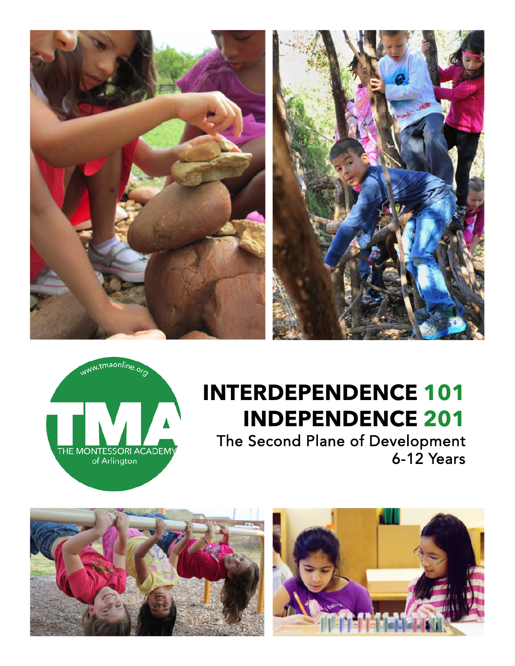





# **INTERDEPENDENCE 101 INDEPENDENCE 201**

The Second Plane of Development 6-12 Years



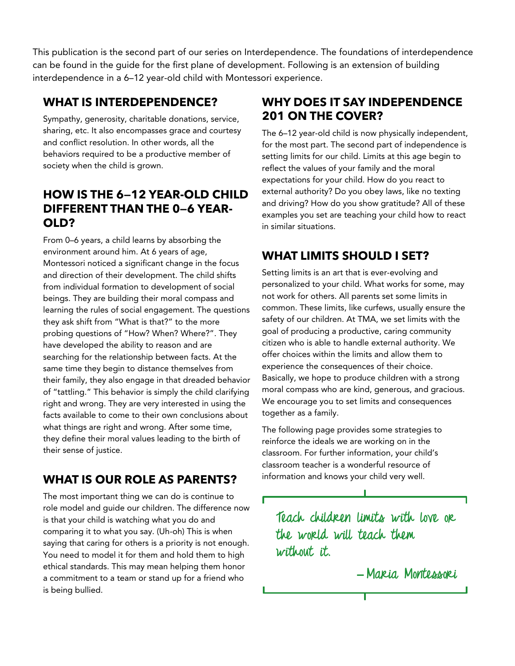This publication is the second part of our series on Interdependence. The foundations of interdependence can be found in the guide for the first plane of development. Following is an extension of building interdependence in a 6–12 year-old child with Montessori experience.

#### **WHAT IS INTERDEPENDENCE?**

Sympathy, generosity, charitable donations, service, sharing, etc. It also encompasses grace and courtesy and conflict resolution. In other words, all the behaviors required to be a productive member of society when the child is grown.

## **HOW IS THE 6—12 YEAR-OLD CHILD DIFFERENT THAN THE 0—6 YEAR-OLD?**

From 0–6 years, a child learns by absorbing the environment around him. At 6 years of age, Montessori noticed a significant change in the focus and direction of their development. The child shifts from individual formation to development of social beings. They are building their moral compass and learning the rules of social engagement. The questions they ask shift from "What is that?" to the more probing questions of "How? When? Where?". They have developed the ability to reason and are searching for the relationship between facts. At the same time they begin to distance themselves from their family, they also engage in that dreaded behavior of "tattling." This behavior is simply the child clarifying right and wrong. They are very interested in using the facts available to come to their own conclusions about what things are right and wrong. After some time, they define their moral values leading to the birth of their sense of justice.

# **WHAT IS OUR ROLE AS PARENTS?**

The most important thing we can do is continue to role model and guide our children. The difference now is that your child is watching what you do and comparing it to what you say. (Uh-oh) This is when saying that caring for others is a priority is not enough. You need to model it for them and hold them to high ethical standards. This may mean helping them honor a commitment to a team or stand up for a friend who is being bullied.

# **WHY DOES IT SAY INDEPENDENCE 201 ON THE COVER?**

The 6–12 year-old child is now physically independent, for the most part. The second part of independence is setting limits for our child. Limits at this age begin to reflect the values of your family and the moral expectations for your child. How do you react to external authority? Do you obey laws, like no texting and driving? How do you show gratitude? All of these examples you set are teaching your child how to react in similar situations.

# **WHAT LIMITS SHOULD I SET?**

Setting limits is an art that is ever-evolving and personalized to your child. What works for some, may not work for others. All parents set some limits in common. These limits, like curfews, usually ensure the safety of our children. At TMA, we set limits with the goal of producing a productive, caring community citizen who is able to handle external authority. We offer choices within the limits and allow them to experience the consequences of their choice. Basically, we hope to produce children with a strong moral compass who are kind, generous, and gracious. We encourage you to set limits and consequences together as a family.

The following page provides some strategies to reinforce the ideals we are working on in the classroom. For further information, your child's classroom teacher is a wonderful resource of information and knows your child very well.

**Teach children limits with love or the world will teach them without it.** 

 **̶ Maria Montessori**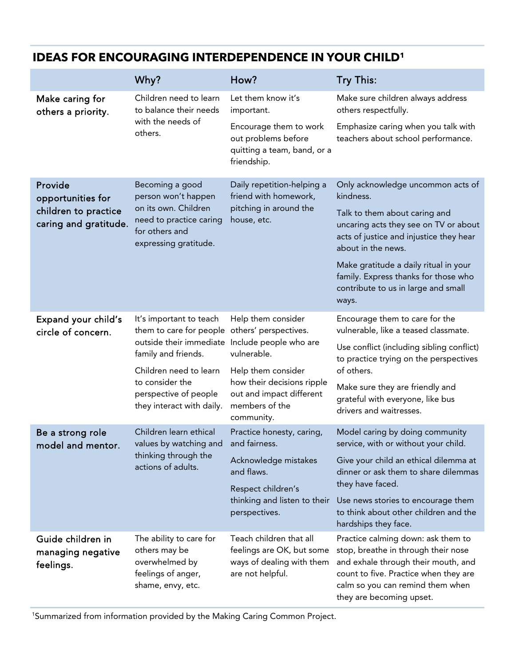|                                                                               | Why?                                                                                                                                 | How?                                                                                                         | <b>Try This:</b>                                                                                                                                                                    |
|-------------------------------------------------------------------------------|--------------------------------------------------------------------------------------------------------------------------------------|--------------------------------------------------------------------------------------------------------------|-------------------------------------------------------------------------------------------------------------------------------------------------------------------------------------|
| Make caring for<br>others a priority.                                         | Children need to learn<br>to balance their needs<br>with the needs of<br>others.                                                     | Let them know it's<br>important.                                                                             | Make sure children always address<br>others respectfully.                                                                                                                           |
|                                                                               |                                                                                                                                      | Encourage them to work<br>out problems before<br>quitting a team, band, or a<br>friendship.                  | Emphasize caring when you talk with<br>teachers about school performance.                                                                                                           |
| Provide<br>opportunities for<br>children to practice<br>caring and gratitude. | Becoming a good<br>person won't happen<br>on its own. Children<br>need to practice caring<br>for others and<br>expressing gratitude. | Daily repetition-helping a<br>friend with homework,<br>pitching in around the<br>house, etc.                 | Only acknowledge uncommon acts of<br>kindness.                                                                                                                                      |
|                                                                               |                                                                                                                                      |                                                                                                              | Talk to them about caring and<br>uncaring acts they see on TV or about<br>acts of justice and injustice they hear<br>about in the news.                                             |
|                                                                               |                                                                                                                                      |                                                                                                              | Make gratitude a daily ritual in your<br>family. Express thanks for those who<br>contribute to us in large and small<br>ways.                                                       |
| Expand your child's<br>circle of concern.                                     | It's important to teach<br>them to care for people<br>outside their immediate<br>family and friends.                                 | Help them consider<br>others' perspectives.<br>Include people who are<br>vulnerable.                         | Encourage them to care for the<br>vulnerable, like a teased classmate.                                                                                                              |
|                                                                               |                                                                                                                                      |                                                                                                              | Use conflict (including sibling conflict)<br>to practice trying on the perspectives                                                                                                 |
|                                                                               | Children need to learn<br>to consider the<br>perspective of people<br>they interact with daily.                                      | Help them consider<br>how their decisions ripple<br>out and impact different<br>members of the<br>community. | of others.                                                                                                                                                                          |
|                                                                               |                                                                                                                                      |                                                                                                              | Make sure they are friendly and<br>grateful with everyone, like bus<br>drivers and waitresses.                                                                                      |
| Be a strong role<br>model and mentor.                                         | Children learn ethical<br>values by watching and and fairness.<br>thinking through the<br>actions of adults.                         | Practice honesty, caring,                                                                                    | Model caring by doing community<br>service, with or without your child.                                                                                                             |
|                                                                               |                                                                                                                                      | Acknowledge mistakes<br>and flaws.                                                                           | Give your child an ethical dilemma at<br>dinner or ask them to share dilemmas<br>they have faced.<br>Use news stories to encourage them<br>to think about other children and the    |
|                                                                               |                                                                                                                                      | Respect children's<br>thinking and listen to their<br>perspectives.                                          |                                                                                                                                                                                     |
| Guide children in                                                             | The ability to care for                                                                                                              | Teach children that all                                                                                      | hardships they face.<br>Practice calming down: ask them to                                                                                                                          |
| managing negative<br>feelings.                                                | others may be<br>overwhelmed by<br>feelings of anger,<br>shame, envy, etc.                                                           | feelings are OK, but some<br>ways of dealing with them<br>are not helpful.                                   | stop, breathe in through their nose<br>and exhale through their mouth, and<br>count to five. Practice when they are<br>calm so you can remind them when<br>they are becoming upset. |

#### **IDEAS FOR ENCOURAGING INTERDEPENDENCE IN YOUR CHILD1**

1 Summarized from information provided by the Making Caring Common Project.